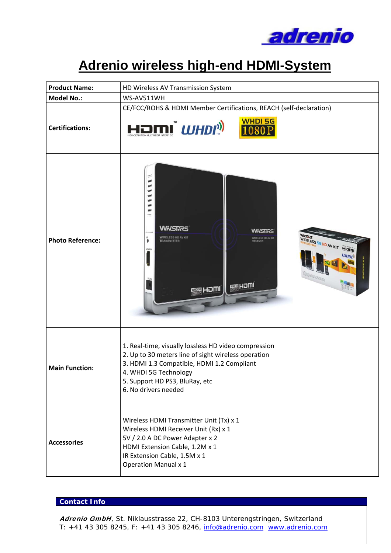

# **Adrenio wireless high-end HDMI-System**

| <b>Product Name:</b>    | HD Wireless AV Transmission System                                                                                                                                                                                                           |  |  |  |
|-------------------------|----------------------------------------------------------------------------------------------------------------------------------------------------------------------------------------------------------------------------------------------|--|--|--|
| <b>Model No.:</b>       | WS-AV511WH                                                                                                                                                                                                                                   |  |  |  |
| <b>Certifications:</b>  | CE/FCC/ROHS & HDMI Member Certifications, REACH (self-declaration)<br><b>WHDI 5G</b><br><b>IMI</b> WHDI <sup>I</sup>                                                                                                                         |  |  |  |
| <b>Photo Reference:</b> | <b>UWASTARS</b><br><b>WHSTARS</b><br>WASHES SG HD AV KIT HEITH<br>WIRELESS HD AV KIT<br><b>MRELESS HD AV KIT</b><br>TRANSMITTER<br>RECEIVER<br><b>WHDP</b><br><b>MAN HOMI</b><br><b>MCH Bill</b>                                             |  |  |  |
| <b>Main Function:</b>   | 1. Real-time, visually lossless HD video compression<br>2. Up to 30 meters line of sight wireless operation<br>3. HDMI 1.3 Compatible, HDMI 1.2 Compliant<br>4. WHDI 5G Technology<br>5. Support HD PS3, BluRay, etc<br>6. No drivers needed |  |  |  |
| <b>Accessories</b>      | Wireless HDMI Transmitter Unit (Tx) x 1<br>Wireless HDMI Receiver Unit (Rx) x 1<br>5V / 2.0 A DC Power Adapter x 2<br>HDMI Extension Cable, 1.2M x 1<br>IR Extension Cable, 1.5M x 1<br><b>Operation Manual x 1</b>                          |  |  |  |

### **Contact Info**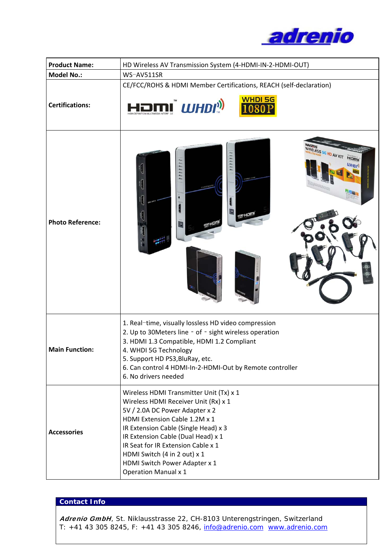

| <b>Product Name:</b>    | HD Wireless AV Transmission System (4-HDMI-IN-2-HDMI-OUT)                                                                                                                                                                                                                                                                                                              |  |  |  |
|-------------------------|------------------------------------------------------------------------------------------------------------------------------------------------------------------------------------------------------------------------------------------------------------------------------------------------------------------------------------------------------------------------|--|--|--|
| <b>Model No.:</b>       | WS-AV511SR                                                                                                                                                                                                                                                                                                                                                             |  |  |  |
| <b>Certifications:</b>  | CE/FCC/ROHS & HDMI Member Certifications, REACH (self-declaration)<br><b>IMI</b> WHDI <sup>)</sup>                                                                                                                                                                                                                                                                     |  |  |  |
| <b>Photo Reference:</b> | IRELESS SG HD AV KIT<br>HOMI<br><b>WHDP</b><br><b>SE HOM!</b><br>$\pmb{\mathsf{L}}$                                                                                                                                                                                                                                                                                    |  |  |  |
| <b>Main Function:</b>   | 1. Real-time, visually lossless HD video compression<br>2. Up to 30Meters line - of - sight wireless operation<br>3. HDMI 1.3 Compatible, HDMI 1.2 Compliant<br>4. WHDI 5G Technology<br>5. Support HD PS3, BluRay, etc.<br>6. Can control 4 HDMI-In-2-HDMI-Out by Remote controller<br>6. No drivers needed                                                           |  |  |  |
| <b>Accessories</b>      | Wireless HDMI Transmitter Unit (Tx) x 1<br>Wireless HDMI Receiver Unit (Rx) x 1<br>5V / 2.0A DC Power Adapter x 2<br>HDMI Extension Cable 1.2M x 1<br>IR Extension Cable (Single Head) x 3<br>IR Extension Cable (Dual Head) x 1<br>IR Seat for IR Extension Cable x 1<br>HDMI Switch (4 in 2 out) x 1<br>HDMI Switch Power Adapter x 1<br><b>Operation Manual x 1</b> |  |  |  |

# **Contact Info**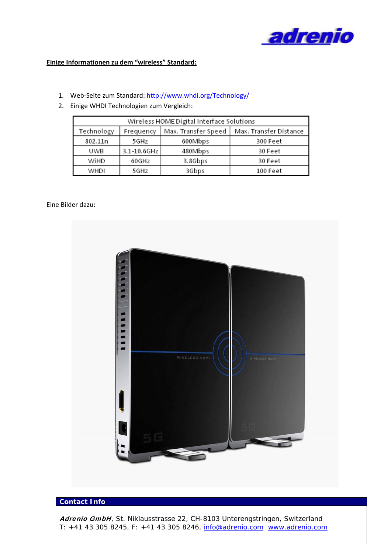

#### **Einige Informationen zu dem "wireless" Standard:**

- 1. Web-Seite zum Standard: http://www.whdi.org/Technology/
- 2. Einige WHDI Technologien zum Vergleich:

| Wireless HOME Digital Interface Solutions |                  |                     |                        |  |  |
|-------------------------------------------|------------------|---------------------|------------------------|--|--|
| Technology                                | Frequency        | Max. Transfer Speed | Max. Transfer Distance |  |  |
| 802.11n                                   | 5GHz             | 600Mbps             | 300 Feet               |  |  |
| UWB                                       | $3.1 - 10.6$ GHz | 480Mbps             | 30 Feet                |  |  |
| WiHD                                      | 60GHz            | 3.8Gbps             | 30 Feet                |  |  |
| WHDI                                      | 5GHz             | 3Gbps               | 100 Feet               |  |  |

#### Eine Bilder dazu:



## **Contact Info**